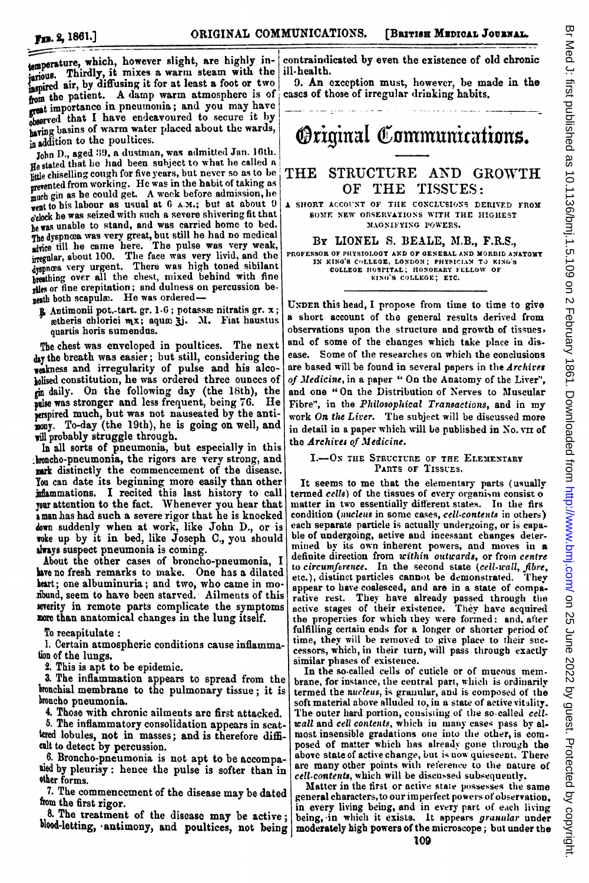temperature, which, however slight, are highly injurious. Thirdly, it mixes a warm steam with the inspired air, by diffusing it for at least a foot or two from the patient. A damp warm atmosphere is of great importance in pneumonia; and you may have observed that I have endeavoured to secure it by baving basins of warm water placed about the wards, in addition to the poultices.

Aiaddition to the poultices. john D., aged :9, a dustnman, was admitted Jan. I0th. He stated that he had been subject to what he called a little chiselling cough for five years, but never so as to be prevented from working. He was in the habit of taking as much gin as he could get. A week before admission, he went to his labour as usual at  $6$  A.M.; but at about 9 <sup>o</sup>'clock he was seized with such <sup>a</sup> severe shivering fit that be was unable to stand, and was carried home to bed. The dyspncea was very great, but still he had no medical ,duice till lie came here. The pulse was very weak, irregular, about 100. The face was very livid, and the 4yspnea very urgent. There was high toned sibilant breathing over all the chest, mixed behind with fine rales or fine crepitation; and dulness on percussion beneath both scapulæ. He was ordered-

 $\mathbf{\hat{g}}$  Antimonii pot.-tart. gr. 1-6; potassæ nitratis gr. x; getheris chlorici  $mx$ ; aqu $x$ ;  $\overline{x}$ . M. Fiat haustus quartis horis sumendus.

The chest was enveloped in poultices. The next day the breath was easier; but still, considering the Wakness and irregularity of pulse and his alcololised constitution, he was ordered three ounces of gi daily. On the following day (the 18th), the pulse was stronger and less frequent, being 76. He perspired much, but was not nauseated by the antimony. To-day (the 19th), he is going on well, and will probably struggle through.

In all sorts of pneumonia, but especially in this boncho-pneumonia, the rigors are very strong, and mark distinctly the commencement of the disease. You can date its beginning more easily than other inflammations. I recited this last history to call your attention to the fact. Whenever you hear that a man has had such a severe rigor that he is knocked down suddenly when at work, like John D., or is woke up by it in bed, like Joseph C., you should always suspect pneumonia is coming.

About the other cases of broncho-pneumonia, I have no fresh remarks to make. One has a dilated heart; one albuminuria; and two, who came in moibund, seem to have been starved. Ailments of this severity in remote parts complicate the symptoms more than anatomical changes in the lung itself.

To recapitulate:

1. Certain atmospheric conditions cause inflammation of the lungs.

2. This is apt to be epidemic.

3. The inflammation appears to spread from the bronchial membrane to the pulmonary tissue; it is broncho pneumonia.

Those with chronic ailments are first attacked.

5. The inflammatory consolidation appears in scattered lobules, not in masses; and is therefore difficult to detect by percussion.

6. Broncho-pneumonia is not apt to be accompauied by pleurisy: hence the pulse is softer than in other forms.

7. The commencement of the disease may be dated fom the first rigor.

8. The treatment of the disease may be active;

contraindicated by even the existence of old chronic ill-health.

9. An exception must, however, be made in the cases of those of irregular drinking habits.

## **Original Communications.**

## THE STRUCTURE AND GROWTH<br>OF THE TISSUES: TISSUES:

A SHORT ACCOUNT OF THE CONCLUSIONS DERIVED FROM S5oME NEW OBSERVATIONS WITH THE HIGHEST MAGNIFYING POWERS.

By LIONEL S. BEALD, M.B., F.R.S.,

PROFESSOR OF PHYSIOLOGY AND OF GENERAL AND MORBID ANATOMY IN KING'S COLLEGE, LONDON; PHYSICIAN TO KING'S<br>
COLLEGE HOSPITAL; HONORARY FELLOW OF<br>
KING'S COLLEGE; ETC.

UNDER this head, I propose from time to time to give <sup>a</sup> short account of the general results derived from observations upon the structure and growth of tissues, and of some of the changes which take place in disease. Some of the researches on which the conclusions are based will be found in several papers in the *Archives* of Medicine, in a paper " On the Anatomy of the Liver", and one "On the Distribution of Nerves to Muscular Fibre", in the Philosophical Transactions, and in my work On the Liver. The subject will be discussed more in detail in a paper which will be published in No. vn of the Archives of Medicine.

## I.-ON THE STRUCTURE OF THE ELEMENTARY PARTS OF TISSUES.

It seems to me that the elementary parts (usually termed cells) of the tissues of every organism consist o matter in two essentially different states. In the firs condition (nucleus in some cases, cell-contents in others) each separate particle is actually undergoing, or is capable of undergoing, active and incessant changes determined by its own inherent powers, and moves in a definite direction from within outwards, or from centre to circumference. In the second state (cell-wall, fibre, etc.), distinct particles cannot be demonstrated. They appear to have coalesced, and are in a state of comparative rest. They have already passed through the active stages of their existence. 'They have acquired the properties for which they were formed: and, after fulfilling certain ends for a longer ot shorter period of time, they will be removed to give place to their successors, which, in their turn, will pass through exactly similar phases of existence.

In the so-called cells of cuticle or of mucous mem. brane, for instance, the central part, which is ordinarily termed the nucleus, is granular, and is composed of the soft material above alluded to, in a state of active vitality. The outer hard portion, consisting of the so-called cellwall and cell contents, which in many cases pass by almost insensible gradations one into the other, is composed of matter which has already gone through the above state of active change, but is now quiescent. There are many other points with reference to the nature of cell-contents, which will be discussed subsequently.

blood-letting, antimony, and poultices, not being moderately high powers of the microscope; but under the Matter in the first or active state possesses the same general characters, to our imperfect powers of observation, in every living being, and in every part of each living being, in which it exists. It appears granular under